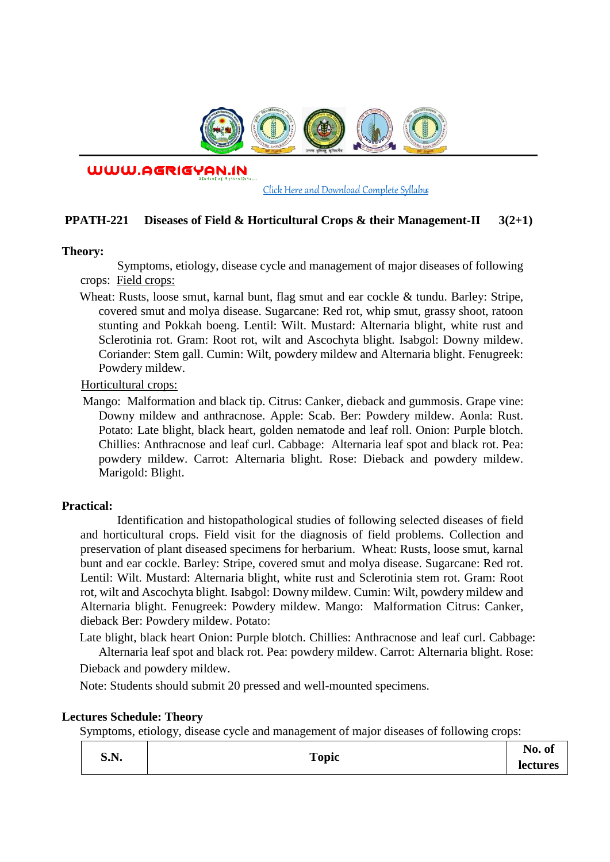

WWW.AGRIGYAN.IN

[Click Here and Download Complete Syllabus](http://agrigyan.in/)

## **PPATH-221 Diseases of Field & Horticultural Crops & their Management-II 3(2+1)**

#### **Theory:**

 $\overline{a}$ 

Symptoms, etiology, disease cycle and management of major diseases of following crops: Field crops:

Wheat: Rusts, loose smut, karnal bunt, flag smut and ear cockle & tundu. Barley: Stripe, covered smut and molya disease. Sugarcane: Red rot, whip smut, grassy shoot, ratoon stunting and Pokkah boeng. Lentil: Wilt. Mustard: Alternaria blight, white rust and Sclerotinia rot. Gram: Root rot, wilt and Ascochyta blight. Isabgol: Downy mildew. Coriander: Stem gall. Cumin: Wilt, powdery mildew and Alternaria blight. Fenugreek: Powdery mildew.

Horticultural crops:

Mango: Malformation and black tip. Citrus: Canker, dieback and gummosis. Grape vine: Downy mildew and anthracnose. Apple: Scab. Ber: Powdery mildew. Aonla: Rust. Potato: Late blight, black heart, golden nematode and leaf roll. Onion: Purple blotch. Chillies: Anthracnose and leaf curl. Cabbage: Alternaria leaf spot and black rot. Pea: powdery mildew. Carrot: Alternaria blight. Rose: Dieback and powdery mildew. Marigold: Blight.

### **Practical:**

Identification and histopathological studies of following selected diseases of field and horticultural crops. Field visit for the diagnosis of field problems. Collection and preservation of plant diseased specimens for herbarium. Wheat: Rusts, loose smut, karnal bunt and ear cockle. Barley: Stripe, covered smut and molya disease. Sugarcane: Red rot. Lentil: Wilt. Mustard: Alternaria blight, white rust and Sclerotinia stem rot. Gram: Root rot, wilt and Ascochyta blight. Isabgol: Downy mildew. Cumin: Wilt, powdery mildew and Alternaria blight. Fenugreek: Powdery mildew. Mango: Malformation Citrus: Canker, dieback Ber: Powdery mildew. Potato:

Late blight, black heart Onion: Purple blotch. Chillies: Anthracnose and leaf curl. Cabbage: Alternaria leaf spot and black rot. Pea: powdery mildew. Carrot: Alternaria blight. Rose:

Dieback and powdery mildew.

Note: Students should submit 20 pressed and well-mounted specimens.

### **Lectures Schedule: Theory**

Symptoms, etiology, disease cycle and management of major diseases of following crops:

| S.N. | Topic | $\blacksquare$<br>No. of |
|------|-------|--------------------------|
|      |       | lectures                 |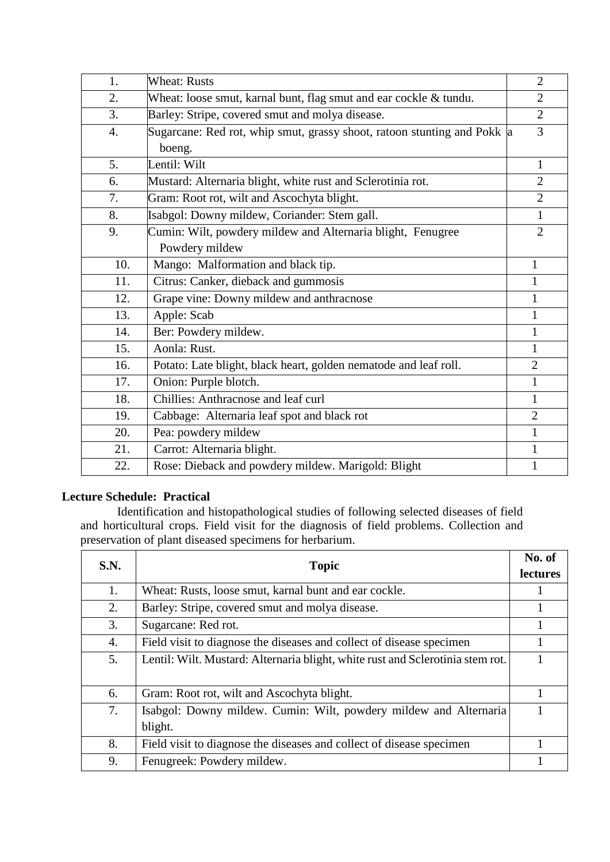| 1.  | <b>Wheat: Rusts</b>                                                     | $\overline{2}$ |
|-----|-------------------------------------------------------------------------|----------------|
| 2.  | Wheat: loose smut, karnal bunt, flag smut and ear cockle & tundu.       | $\overline{2}$ |
| 3.  | Barley: Stripe, covered smut and molya disease.                         | $\overline{2}$ |
| 4.  | Sugarcane: Red rot, whip smut, grassy shoot, ratoon stunting and Pokk a | 3              |
|     | boeng.                                                                  |                |
| 5.  | Lentil: Wilt                                                            | $\mathbf{1}$   |
| 6.  | Mustard: Alternaria blight, white rust and Sclerotinia rot.             | $\overline{2}$ |
| 7.  | Gram: Root rot, wilt and Ascochyta blight.                              | $\overline{2}$ |
| 8.  | Isabgol: Downy mildew, Coriander: Stem gall.                            | $\mathbf{1}$   |
| 9.  | Cumin: Wilt, powdery mildew and Alternaria blight, Fenugree             | $\overline{2}$ |
|     | Powdery mildew                                                          |                |
| 10. | Mango: Malformation and black tip.                                      | $\mathbf{1}$   |
| 11. | Citrus: Canker, dieback and gummosis                                    | $\mathbf{1}$   |
| 12. | Grape vine: Downy mildew and anthracnose                                | 1              |
| 13. | Apple: Scab                                                             | 1              |
| 14. | Ber: Powdery mildew.                                                    | $\mathbf{1}$   |
| 15. | Aonla: Rust.                                                            | 1              |
| 16. | Potato: Late blight, black heart, golden nematode and leaf roll.        | $\overline{2}$ |
| 17. | Onion: Purple blotch.                                                   | 1              |
| 18. | Chillies: Anthracnose and leaf curl                                     | 1              |
| 19. | Cabbage: Alternaria leaf spot and black rot                             | $\overline{2}$ |
| 20. | Pea: powdery mildew                                                     | 1              |
| 21. | Carrot: Alternaria blight.                                              | $\mathbf{1}$   |
| 22. | Rose: Dieback and powdery mildew. Marigold: Blight                      | $\mathbf{1}$   |

# **Lecture Schedule: Practical**

Identification and histopathological studies of following selected diseases of field and horticultural crops. Field visit for the diagnosis of field problems. Collection and preservation of plant diseased specimens for herbarium.

| S.N. | <b>Topic</b>                                                                   | No. of<br><b>lectures</b> |
|------|--------------------------------------------------------------------------------|---------------------------|
| 1.   | Wheat: Rusts, loose smut, karnal bunt and ear cockle.                          |                           |
| 2.   | Barley: Stripe, covered smut and molya disease.                                |                           |
| 3.   | Sugarcane: Red rot.                                                            |                           |
| 4.   | Field visit to diagnose the diseases and collect of disease specimen           |                           |
| 5.   | Lentil: Wilt. Mustard: Alternaria blight, white rust and Sclerotinia stem rot. |                           |
| 6.   | Gram: Root rot, wilt and Ascochyta blight.                                     |                           |
| 7.   | Isabgol: Downy mildew. Cumin: Wilt, powdery mildew and Alternaria              |                           |
|      | blight.                                                                        |                           |
| 8.   | Field visit to diagnose the diseases and collect of disease specimen           |                           |
| 9.   | Fenugreek: Powdery mildew.                                                     |                           |